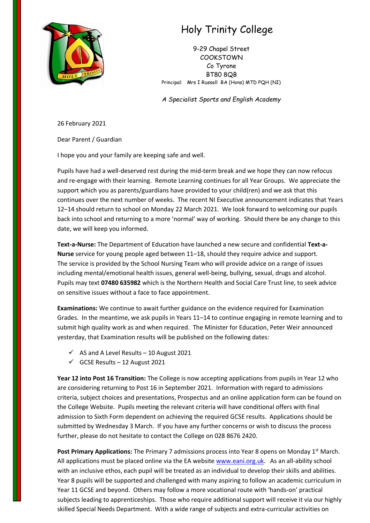

## Holy Trinity College

9-29 Chapel Street COOKSTOWN Co Tyrone BT80 8QB Principal: Mrs I Russell BA (Hons) MTD PQH (NI)

*A Specialist Sports and English Academy*

26 February 2021

Dear Parent / Guardian

I hope you and your family are keeping safe and well.

Pupils have had a well-deserved rest during the mid-term break and we hope they can now refocus and re-engage with their learning. Remote Learning continues for all Year Groups. We appreciate the support which you as parents/guardians have provided to your child(ren) and we ask that this continues over the next number of weeks. The recent NI Executive announcement indicates that Years 12–14 should return to school on Monday 22 March 2021. We look forward to welcoming our pupils back into school and returning to a more 'normal' way of working. Should there be any change to this date, we will keep you informed.

**Text-a-Nurse:** The Department of Education have launched a new secure and confidential **Text-a-Nurse** service for young people aged between 11–18, should they require advice and support. The service is provided by the School Nursing Team who will provide advice on a range of issues including mental/emotional health issues, general well-being, bullying, sexual, drugs and alcohol. Pupils may text **07480 635982** which is the Northern Health and Social Care Trust line, to seek advice on sensitive issues without a face to face appointment.

**Examinations:** We continue to await further guidance on the evidence required for Examination Grades. In the meantime, we ask pupils in Years 11–14 to continue engaging in remote learning and to submit high quality work as and when required. The Minister for Education, Peter Weir announced yesterday, that Examination results will be published on the following dates:

- $\checkmark$  AS and A Level Results 10 August 2021
- $\checkmark$  GCSE Results 12 August 2021

**Year 12 into Post 16 Transition:** The College is now accepting applications from pupils in Year 12 who are considering returning to Post 16 in September 2021. Information with regard to admissions criteria, subject choices and presentations, Prospectus and an online application form can be found on the College Website. Pupils meeting the relevant criteria will have conditional offers with final admission to Sixth Form dependent on achieving the required GCSE results. Applications should be submitted by Wednesday 3 March. If you have any further concerns or wish to discuss the process further, please do not hesitate to contact the College on 028 8676 2420.

Post Primary Applications: The Primary 7 admissions process into Year 8 opens on Monday 1<sup>st</sup> March. All applications must be placed online via the EA website [www.eani.org.uk.](http://www.eani.org.uk/) As an all-ability school with an inclusive ethos, each pupil will be treated as an individual to develop their skills and abilities. Year 8 pupils will be supported and challenged with many aspiring to follow an academic curriculum in Year 11 GCSE and beyond. Others may follow a more vocational route with 'hands-on' practical subjects leading to apprenticeships. Those who require additional support will receive it via our highly skilled Special Needs Department. With a wide range of subjects and extra-curricular activities on